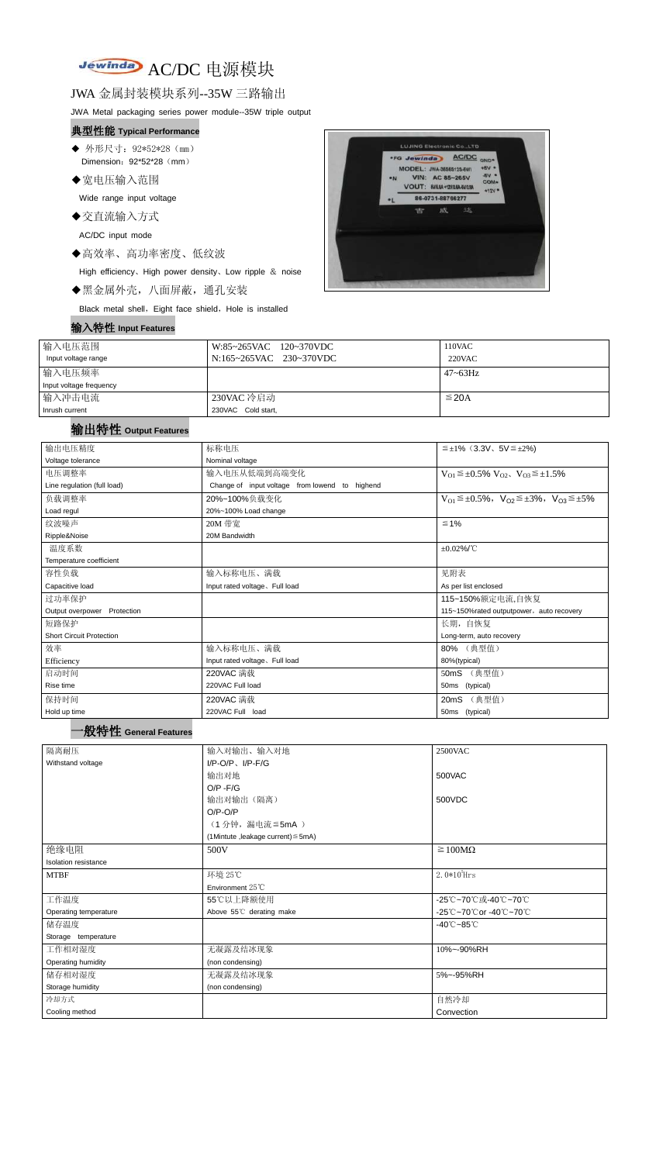# Jewinday AC/DC 电源模块

#### JWA 金属封装模块系列--35W 三路输出

JWA Metal packaging series power module--35W triple output

- ◆ 外形尺寸: 92\*52\*28 (mm) Dimension: 92\*52\*28 (mm)
- ◆宽电压输入范围

#### 典型性能 **Typical Performance**

Wide range input voltage

◆交直流输入方式

AC/DC input mode

◆高效率、高功率密度、低纹波

High efficiency、High power density、Low ripple & noise

◆黑金属外壳,八面屏蔽,通孔安装

Black metal shell, Eight face shield, Hole is installed

|  | 输入特性    Input Features |
|--|------------------------|
|--|------------------------|



| 输入电压范围                  | W:85~265VAC 120~370VDC  | 110VAC          |
|-------------------------|-------------------------|-----------------|
| Input voltage range     | N:165~265VAC 230~370VDC | $220$ VAC       |
| 输入电压频率                  |                         | $47 \sim 63$ Hz |
| Input voltage frequency |                         |                 |
| 输入冲击电流                  | 230VAC 冷启动              | $\leq$ 20A      |
| Inrush current          | 230VAC Cold start,      |                 |

### 输出特性 **Output Features**

| 输出电压精度                                    | 标称电压                                           | $\leq \pm 1\%$ (3.3V, 5V $\leq \pm 2\%$ )                               |
|-------------------------------------------|------------------------------------------------|-------------------------------------------------------------------------|
| Voltage tolerance                         | Nominal voltage                                |                                                                         |
| 电压调整率                                     | 输入电压从低端到高端变化                                   | $V_{O1} \leq \pm 0.5\% \ V_{O2}$ , $V_{O3} \leq \pm 1.5\%$              |
| Line regulation (full load)               | Change of input voltage from lowend to highend |                                                                         |
| 负载调整率                                     | 20%~100%负载变化                                   | $V_{O1} \leq \pm 0.5\%$ , $V_{O2} \leq \pm 3\%$ , $V_{O3} \leq \pm 5\%$ |
| Load regul                                | 20%~100% Load change                           |                                                                         |
| 纹波噪声                                      | 20M 带宽                                         | $\leq 1\%$                                                              |
| Ripple&Noise                              | 20M Bandwidth                                  |                                                                         |
| 温度系数                                      |                                                | $±0.02\%$ /°C                                                           |
| Temperature coefficient                   |                                                |                                                                         |
| 容性负载                                      | 输入标称电压、满载                                      | 见附表                                                                     |
| Capacitive load                           | Input rated voltage. Full load                 | As per list enclosed                                                    |
| 过功率保护                                     |                                                | 115~150%额定电流,自恢复                                                        |
| Output overpower Protection               |                                                | 115~150%rated outputpower, auto recovery                                |
| 短路保护                                      |                                                | 长期, 自恢复                                                                 |
| <b>Short Circuit Protection</b>           |                                                | Long-term, auto recovery                                                |
| 效率                                        | 输入标称电压、满载                                      | 80% (典型值)                                                               |
| Efficiency                                | Input rated voltage. Full load                 | 80%(typical)                                                            |
| 启动时间                                      | 220VAC 满载                                      | 50mS (典型值)                                                              |
| Rise time                                 | 220VAC Full load                               | 50ms (typical)                                                          |
| 保持时间                                      | 220VAC 满载                                      | 20mS (典型值)                                                              |
| Hold up time                              | 220VAC Full load                               | 50ms (typical)                                                          |
| <sup>・</sup> 般特性 General Features<br>隔离耐压 | 输入对输出、输入对地                                     | 2500VAC                                                                 |
| Withstand voltage                         | $I/P$ -O/P, $I/P$ -F/G                         |                                                                         |
|                                           | 输出对地                                           | 500VAC                                                                  |
|                                           | $O/P - F/G$                                    |                                                                         |
|                                           | 输出对输出(隔离)                                      | 500VDC                                                                  |
|                                           | $O/P-O/P$                                      |                                                                         |
|                                           | (1分钟,漏电流≦5mA)                                  |                                                                         |
|                                           | (1Mintute, leakage current) $\leq$ 5mA)        |                                                                         |
| 绝缘电阻                                      | 500V                                           | $\geq 100M\Omega$                                                       |
| Isolation resistance                      |                                                |                                                                         |
| <b>MTBF</b>                               | 环境 25℃                                         | $2.0*105$ Hrs                                                           |
|                                           | Environment 25°C                               |                                                                         |
| 工作温度                                      | 55℃以上降额使用                                      | -25℃~70℃或-40℃~70℃                                                       |
| Operating temperature                     | Above 55°C derating make                       | -25℃~70℃or -40℃~70℃                                                     |
| 储存温度                                      |                                                | $-40^{\circ}$ C $-85^{\circ}$ C                                         |
| Storage temperature                       |                                                |                                                                         |
| 工作相对湿度                                    | 无凝露及结冰现象                                       | 10%~-90%RH                                                              |
| Operating humidity                        | (non condensing)                               |                                                                         |
| 储存相对湿度                                    | 无凝露及结冰现象                                       | 5%~-95%RH                                                               |
| Storage humidity                          | (non condensing)                               |                                                                         |
| 冷却方式                                      |                                                | 自然冷却                                                                    |
| Cooling method                            |                                                | Convection                                                              |
|                                           |                                                |                                                                         |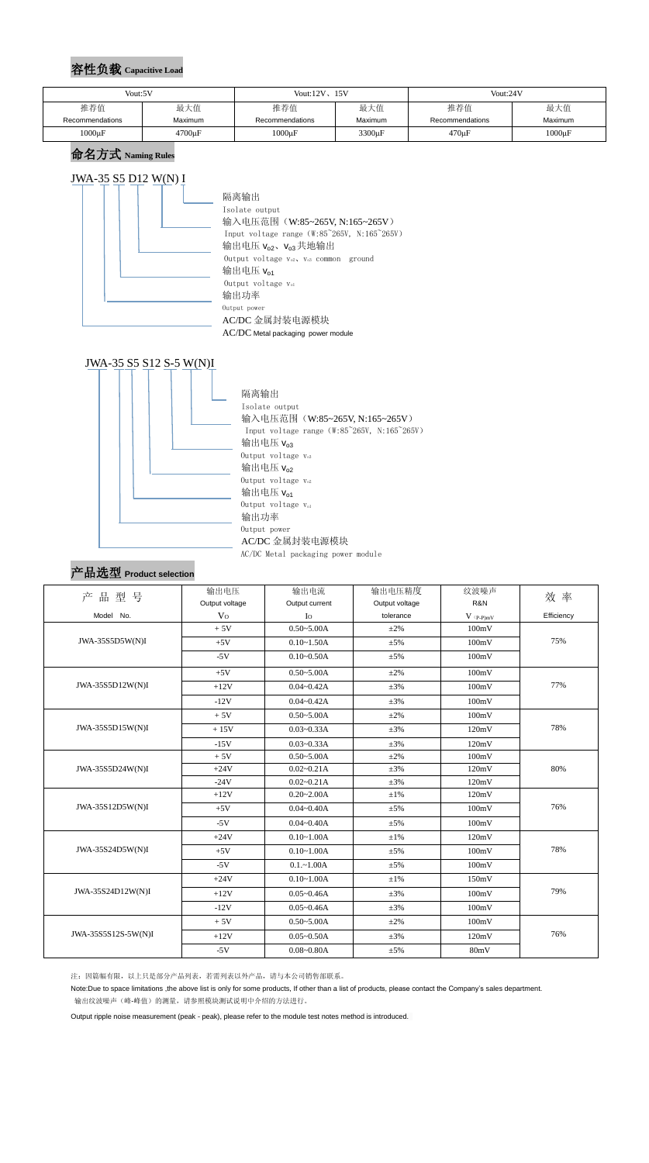## 容性负载 **Capacitive Load**

#### 命名方式 **Naming Rules**

# JWA-35 S5 D12 W(N) I





#### 产品选型 **Product selection**

|                     | 输出电压           | 输出电流           | 输出电压精度             | 纹波噪声                                   | 效率         |  |
|---------------------|----------------|----------------|--------------------|----------------------------------------|------------|--|
| 产品型号                | Output voltage | Output current | Output voltage     | R&N                                    |            |  |
| Model No.           | V <sub>O</sub> | $I_{\rm O}$    | tolerance          | $V$ $\mathrm{(}p\text{-}p\mathrm{)}mV$ | Efficiency |  |
|                     | $+5V$          | $0.50 - 5.00A$ | $\pm 2\%$          | 100mV                                  |            |  |
| JWA-35S5D5W(N)I     | $+5V$          | $0.10 - 1.50A$ | $\pm$ 5%           | 100mV                                  | 75%        |  |
|                     | $-5V$          | $0.10 - 0.50A$ | $\pm$ 5%           | 100mV                                  |            |  |
|                     | $+5V$          | $0.50 - 5.00A$ | $\pm 2\%$          | 100mV                                  |            |  |
| JWA-35S5D12W(N)I    | $+12V$         | $0.04 - 0.42A$ | 100mV<br>$\pm 3\%$ |                                        | 77%        |  |
|                     | $-12V$         | $0.04 - 0.42A$ | $\pm 3\%$          | 100mV                                  |            |  |
|                     | $+5V$          | $0.50 - 5.00A$ | $\pm 2\%$          | 100mV                                  |            |  |
| JWA-35S5D15W(N)I    | $+15V$         | $0.03 - 0.33A$ | $\pm 3\%$          | 120mV                                  | 78%        |  |
|                     | $-15V$         | $0.03 - 0.33A$ | $\pm 3\%$          | 120mV                                  |            |  |
|                     | $+5V$          | $0.50 - 5.00A$ | $\pm 2\%$          | 100mV                                  |            |  |
| JWA-35S5D24W(N)I    | $+24V$         | $0.02 - 0.21A$ | $\pm 3\%$          | 120mV                                  | 80%        |  |
|                     | $-24V$         | $0.02 - 0.21A$ | $\pm 3\%$          | 120mV                                  |            |  |
| JWA-35S12D5W(N)I    | $+12V$         | $0.20 - 2.00A$ | $\pm 1\%$          | 120mV                                  |            |  |
|                     | $+5V$          | $0.04 - 0.40A$ | $\pm$ 5%           | 100mV                                  | 76%        |  |
|                     | $-5V$          | $0.04 - 0.40A$ | $\pm$ 5%           | 100mV                                  |            |  |
|                     | $+24V$         | $0.10 - 1.00A$ | $\pm 1\%$          | 120mV                                  |            |  |
| JWA-35S24D5W(N)I    | $+5V$          | $0.10 - 1.00A$ | $\pm$ 5%           | 100mV                                  | 78%        |  |
|                     | $-5V$          | $0.1 - 1.00A$  | $\pm 5\%$          | 100mV                                  |            |  |
|                     | $+24V$         | $0.10 - 1.00A$ | $\pm 1\%$          | 150mV                                  |            |  |
| JWA-35S24D12W(N)I   | $+12V$         | $0.05 - 0.46A$ | $\pm 3\%$          | 100mV                                  | 79%        |  |
|                     | $-12V$         | $0.05 - 0.46A$ | $\pm 3\%$          | 100mV                                  |            |  |
|                     | $+5V$          | $0.50 - 5.00A$ | $\pm 2\%$          | 100mV                                  |            |  |
| JWA-35S5S12S-5W(N)I | $+12V$         | $0.05 - 0.50A$ | $\pm 3\%$          | 120mV                                  | 76%        |  |
|                     | $-5V$          | $0.08 - 0.80A$ | $\pm$ 5%           | 80mV                                   |            |  |

注:因篇幅有限,以上只是部分产品列表,若需列表以外产品,请与本公司销售部联系。

Note:Due to space limitations ,the above list is only for some products, If other than a list of products, please contact the Company's sales department. 输出纹波噪声(峰-峰值)的测量,请参照模块测试说明中介绍的方法进行。

Output ripple noise measurement (peak - peak), please refer to the module test notes method is introduced.

| Vout:5V         |             | Vout: $12V$ , $15V$ |                | Vout:24V        |             |  |
|-----------------|-------------|---------------------|----------------|-----------------|-------------|--|
| 推荐值             | 最大值         | 推荐值                 | 最大值            | 推荐值             | 最大值         |  |
| Recommendations | Maximum     | Recommendations     | <b>Maximum</b> | Recommendations | Maximum     |  |
| $1000\mu F$     | $4700\mu F$ | $1000\mu F$         | $3300 \mu F$   | 470µF           | $1000\mu F$ |  |